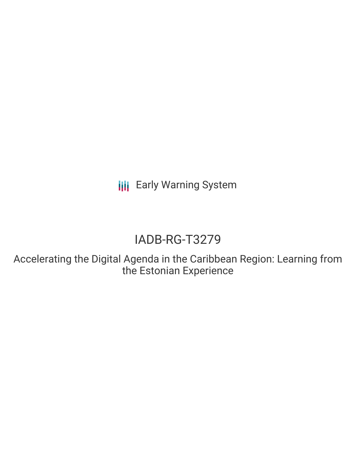**III** Early Warning System

# IADB-RG-T3279

Accelerating the Digital Agenda in the Caribbean Region: Learning from the Estonian Experience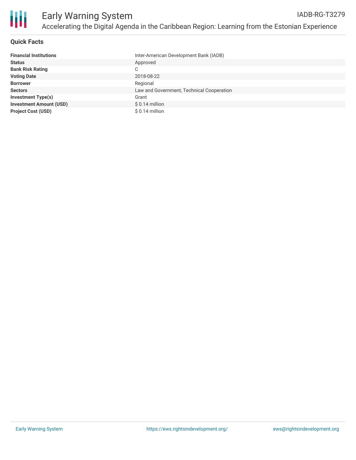

#### **Quick Facts**

| <b>Financial Institutions</b>  | Inter-American Development Bank (IADB)    |
|--------------------------------|-------------------------------------------|
| <b>Status</b>                  | Approved                                  |
| <b>Bank Risk Rating</b>        | С                                         |
| <b>Voting Date</b>             | 2018-08-22                                |
| <b>Borrower</b>                | Regional                                  |
| <b>Sectors</b>                 | Law and Government, Technical Cooperation |
| <b>Investment Type(s)</b>      | Grant                                     |
| <b>Investment Amount (USD)</b> | $$0.14$ million                           |
| <b>Project Cost (USD)</b>      | $$0.14$ million                           |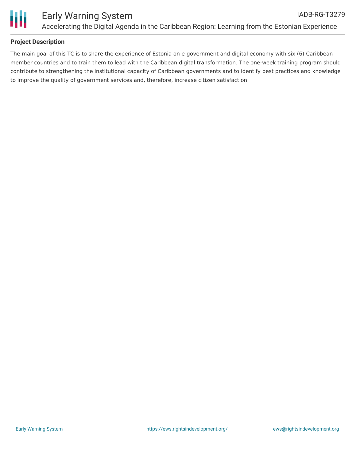

## **Project Description**

The main goal of this TC is to share the experience of Estonia on e-government and digital economy with six (6) Caribbean member countries and to train them to lead with the Caribbean digital transformation. The one-week training program should contribute to strengthening the institutional capacity of Caribbean governments and to identify best practices and knowledge to improve the quality of government services and, therefore, increase citizen satisfaction.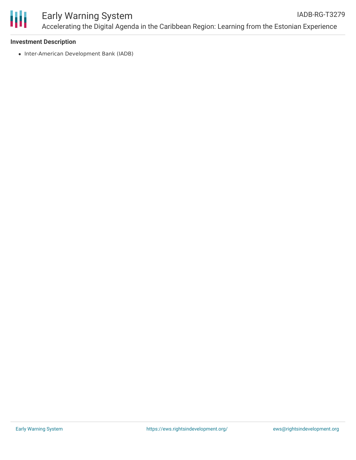

#### Early Warning System Accelerating the Digital Agenda in the Caribbean Region: Learning from the Estonian Experience IADB-RG-T3279

#### **Investment Description**

• Inter-American Development Bank (IADB)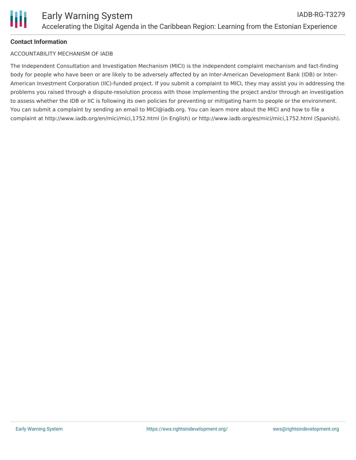

## **Contact Information**

#### ACCOUNTABILITY MECHANISM OF IADB

The Independent Consultation and Investigation Mechanism (MICI) is the independent complaint mechanism and fact-finding body for people who have been or are likely to be adversely affected by an Inter-American Development Bank (IDB) or Inter-American Investment Corporation (IIC)-funded project. If you submit a complaint to MICI, they may assist you in addressing the problems you raised through a dispute-resolution process with those implementing the project and/or through an investigation to assess whether the IDB or IIC is following its own policies for preventing or mitigating harm to people or the environment. You can submit a complaint by sending an email to MICI@iadb.org. You can learn more about the MICI and how to file a complaint at http://www.iadb.org/en/mici/mici,1752.html (in English) or http://www.iadb.org/es/mici/mici,1752.html (Spanish).